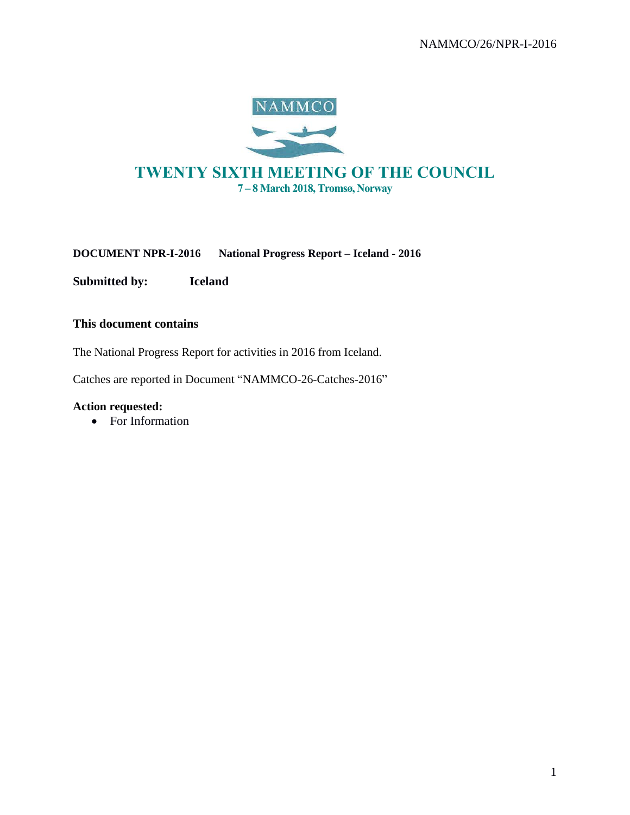

# TWENTY SIXTH MEETING OF THE COUNCIL 7 – 8 March 2018, Tromsø, Norway

**DOCUMENT NPR-I-2016 National Progress Report – Iceland - 2016**

**Submitted by: Iceland**

# **This document contains**

The National Progress Report for activities in 2016 from Iceland.

Catches are reported in Document "NAMMCO-26-Catches-2016"

### **Action requested:**

• For Information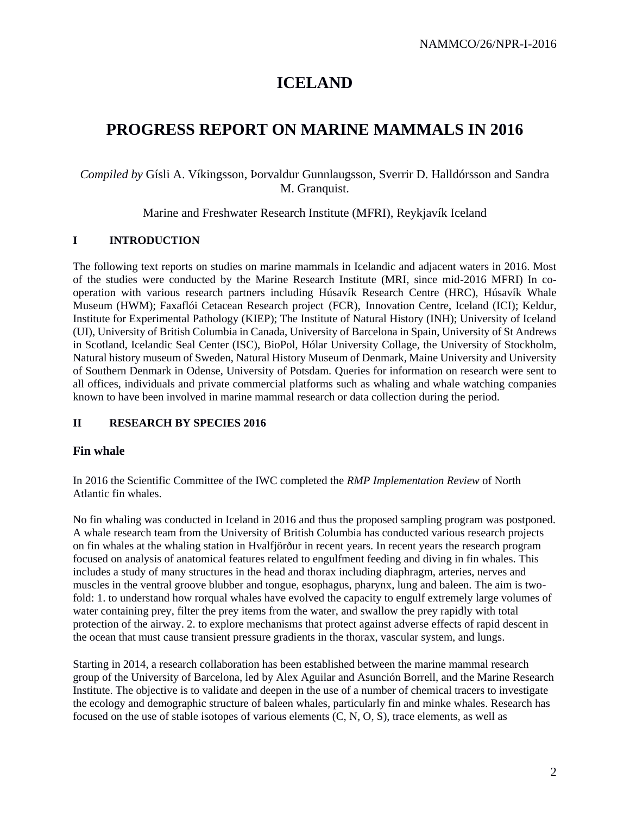# **ICELAND**

# **PROGRESS REPORT ON MARINE MAMMALS IN 2016**

# *Compiled by* Gísli A. Víkingsson, Þorvaldur Gunnlaugsson, Sverrir D. Halldórsson and Sandra M. Granquist.

Marine and Freshwater Research Institute (MFRI), Reykjavík Iceland

# **I INTRODUCTION**

The following text reports on studies on marine mammals in Icelandic and adjacent waters in 2016. Most of the studies were conducted by the Marine Research Institute (MRI, since mid-2016 MFRI) In cooperation with various research partners including Húsavík Research Centre (HRC), Húsavík Whale Museum (HWM); Faxaflói Cetacean Research project (FCR), Innovation Centre, Iceland (ICI); Keldur, Institute for Experimental Pathology (KIEP); The Institute of Natural History (INH); University of Iceland (UI), University of British Columbia in Canada, University of Barcelona in Spain, University of St Andrews in Scotland, Icelandic Seal Center (ISC), BioPol, Hólar University Collage, the University of Stockholm, Natural history museum of Sweden, Natural History Museum of Denmark, Maine University and University of Southern Denmark in Odense, University of Potsdam. Queries for information on research were sent to all offices, individuals and private commercial platforms such as whaling and whale watching companies known to have been involved in marine mammal research or data collection during the period.

# **II RESEARCH BY SPECIES 2016**

# **Fin whale**

In 2016 the Scientific Committee of the IWC completed the *RMP Implementation Review* of North Atlantic fin whales.

No fin whaling was conducted in Iceland in 2016 and thus the proposed sampling program was postponed. A whale research team from the University of British Columbia has conducted various research projects on fin whales at the whaling station in Hvalfjörður in recent years. In recent years the research program focused on analysis of anatomical features related to engulfment feeding and diving in fin whales. This includes a study of many structures in the head and thorax including diaphragm, arteries, nerves and muscles in the ventral groove blubber and tongue, esophagus, pharynx, lung and baleen. The aim is twofold: 1. to understand how rorqual whales have evolved the capacity to engulf extremely large volumes of water containing prey, filter the prey items from the water, and swallow the prey rapidly with total protection of the airway. 2. to explore mechanisms that protect against adverse effects of rapid descent in the ocean that must cause transient pressure gradients in the thorax, vascular system, and lungs.

Starting in 2014, a research collaboration has been established between the marine mammal research group of the University of Barcelona, led by Alex Aguilar and Asunción Borrell, and the Marine Research Institute. The objective is to validate and deepen in the use of a number of chemical tracers to investigate the ecology and demographic structure of baleen whales, particularly fin and minke whales. Research has focused on the use of stable isotopes of various elements (C, N, O, S), trace elements, as well as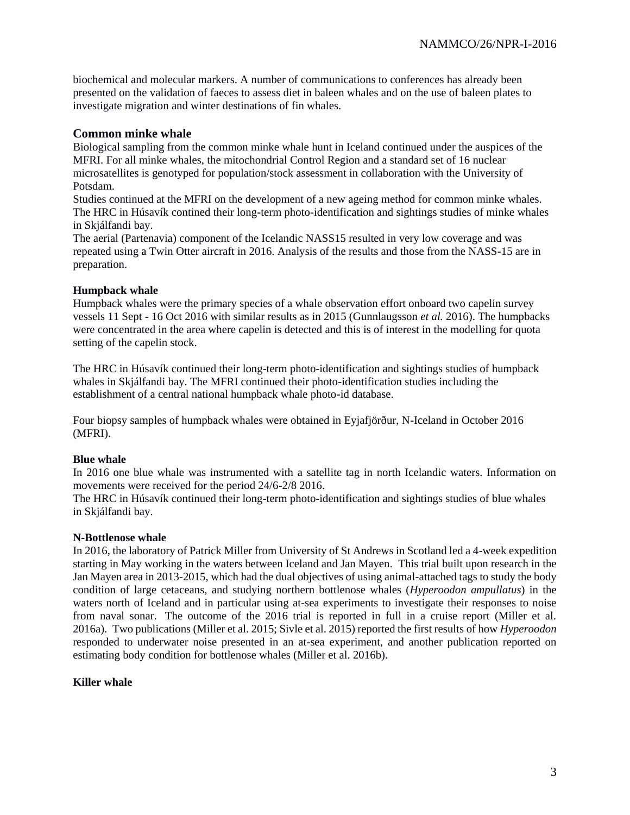biochemical and molecular markers. A number of communications to conferences has already been presented on the validation of faeces to assess diet in baleen whales and on the use of baleen plates to investigate migration and winter destinations of fin whales.

# **Common minke whale**

Biological sampling from the common minke whale hunt in Iceland continued under the auspices of the MFRI. For all minke whales, the mitochondrial Control Region and a standard set of 16 nuclear microsatellites is genotyped for population/stock assessment in collaboration with the University of Potsdam.

Studies continued at the MFRI on the development of a new ageing method for common minke whales. The HRC in Húsavík contined their long-term photo-identification and sightings studies of minke whales in Skjálfandi bay.

The aerial (Partenavia) component of the Icelandic NASS15 resulted in very low coverage and was repeated using a Twin Otter aircraft in 2016. Analysis of the results and those from the NASS-15 are in preparation.

#### **Humpback whale**

Humpback whales were the primary species of a whale observation effort onboard two capelin survey vessels 11 Sept - 16 Oct 2016 with similar results as in 2015 (Gunnlaugsson *et al.* 2016). The humpbacks were concentrated in the area where capelin is detected and this is of interest in the modelling for quota setting of the capelin stock.

The HRC in Húsavík continued their long-term photo-identification and sightings studies of humpback whales in Skjálfandi bay. The MFRI continued their photo-identification studies including the establishment of a central national humpback whale photo-id database.

Four biopsy samples of humpback whales were obtained in Eyjafjörður, N-Iceland in October 2016 (MFRI).

#### **Blue whale**

In 2016 one blue whale was instrumented with a satellite tag in north Icelandic waters. Information on movements were received for the period 24/6-2/8 2016.

The HRC in Húsavík continued their long-term photo-identification and sightings studies of blue whales in Skjálfandi bay.

#### **N-Bottlenose whale**

In 2016, the laboratory of Patrick Miller from University of St Andrews in Scotland led a 4-week expedition starting in May working in the waters between Iceland and Jan Mayen. This trial built upon research in the Jan Mayen area in 2013-2015, which had the dual objectives of using animal-attached tags to study the body condition of large cetaceans, and studying northern bottlenose whales (*Hyperoodon ampullatus*) in the waters north of Iceland and in particular using at-sea experiments to investigate their responses to noise from naval sonar. The outcome of the 2016 trial is reported in full in a cruise report (Miller et al. 2016a). Two publications (Miller et al. 2015; Sivle et al. 2015) reported the first results of how *Hyperoodon* responded to underwater noise presented in an at-sea experiment, and another publication reported on estimating body condition for bottlenose whales (Miller et al. 2016b).

#### **Killer whale**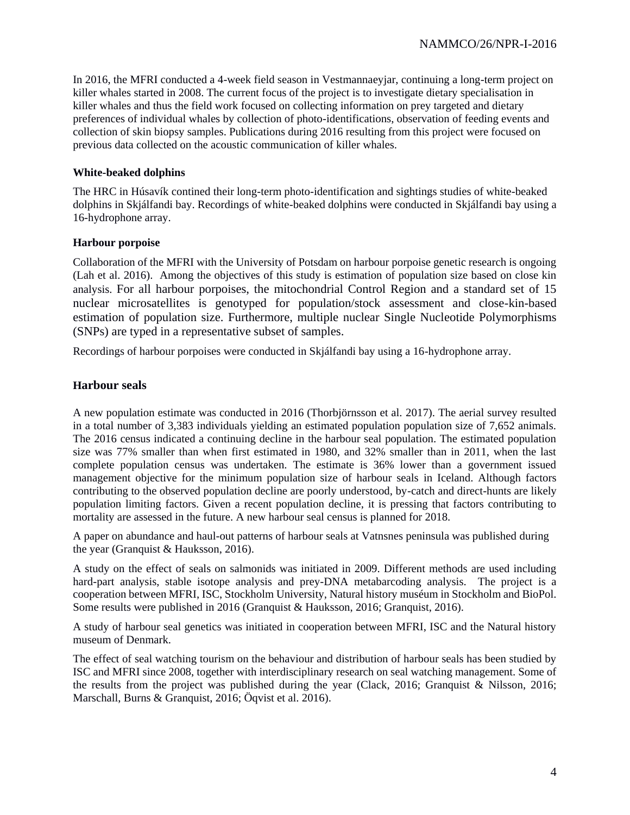In 2016, the MFRI conducted a 4-week field season in Vestmannaeyjar, continuing a long-term project on killer whales started in 2008. The current focus of the project is to investigate dietary specialisation in killer whales and thus the field work focused on collecting information on prey targeted and dietary preferences of individual whales by collection of photo-identifications, observation of feeding events and collection of skin biopsy samples. Publications during 2016 resulting from this project were focused on previous data collected on the acoustic communication of killer whales.

### **White-beaked dolphins**

The HRC in Húsavík contined their long-term photo-identification and sightings studies of white-beaked dolphins in Skjálfandi bay. Recordings of white-beaked dolphins were conducted in Skjálfandi bay using a 16-hydrophone array.

#### **Harbour porpoise**

Collaboration of the MFRI with the University of Potsdam on harbour porpoise genetic research is ongoing (Lah et al. 2016). Among the objectives of this study is estimation of population size based on close kin analysis. For all harbour porpoises, the mitochondrial Control Region and a standard set of 15 nuclear microsatellites is genotyped for population/stock assessment and close-kin-based estimation of population size. Furthermore, multiple nuclear Single Nucleotide Polymorphisms (SNPs) are typed in a representative subset of samples.

Recordings of harbour porpoises were conducted in Skjálfandi bay using a 16-hydrophone array.

# **Harbour seals**

A new population estimate was conducted in 2016 (Thorbjörnsson et al. 2017). The aerial survey resulted in a total number of 3,383 individuals yielding an estimated population population size of 7,652 animals. The 2016 census indicated a continuing decline in the harbour seal population. The estimated population size was 77% smaller than when first estimated in 1980, and 32% smaller than in 2011, when the last complete population census was undertaken. The estimate is 36% lower than a government issued management objective for the minimum population size of harbour seals in Iceland. Although factors contributing to the observed population decline are poorly understood, by-catch and direct-hunts are likely population limiting factors. Given a recent population decline, it is pressing that factors contributing to mortality are assessed in the future. A new harbour seal census is planned for 2018.

A paper on abundance and haul-out patterns of harbour seals at Vatnsnes peninsula was published during the year (Granquist & Hauksson, 2016).

A study on the effect of seals on salmonids was initiated in 2009. Different methods are used including hard-part analysis, stable isotope analysis and prey-DNA metabarcoding analysis. The project is a cooperation between MFRI, ISC, Stockholm University, Natural history muséum in Stockholm and BioPol. Some results were published in 2016 (Granquist & Hauksson, 2016; Granquist, 2016).

A study of harbour seal genetics was initiated in cooperation between MFRI, ISC and the Natural history museum of Denmark.

The effect of seal watching tourism on the behaviour and distribution of harbour seals has been studied by ISC and MFRI since 2008, together with interdisciplinary research on seal watching management. Some of the results from the project was published during the year (Clack, 2016; Granquist & Nilsson, 2016; Marschall, Burns & Granquist, 2016; Öqvist et al. 2016).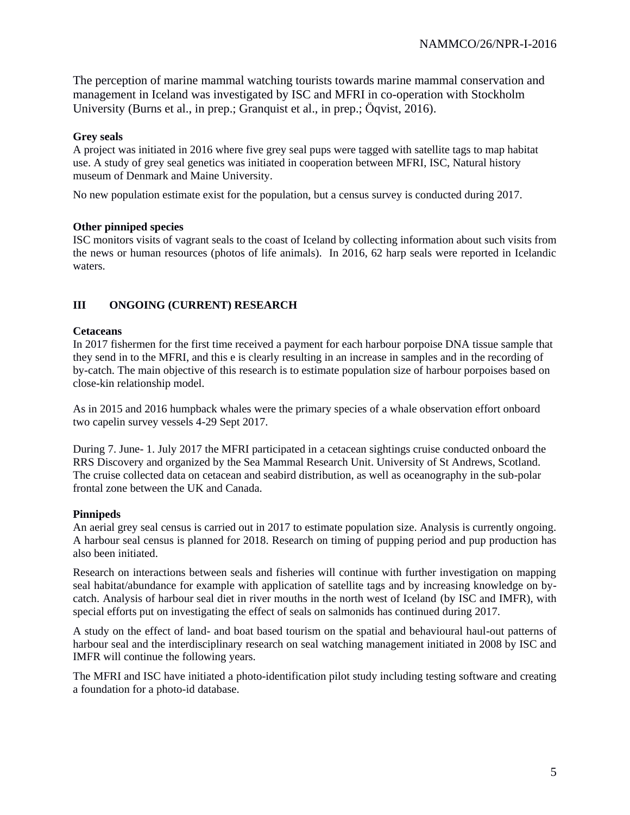The perception of marine mammal watching tourists towards marine mammal conservation and management in Iceland was investigated by ISC and MFRI in co-operation with Stockholm University (Burns et al., in prep.: Granquist et al., in prep.: Öqvist, 2016).

#### **Grey seals**

A project was initiated in 2016 where five grey seal pups were tagged with satellite tags to map habitat use. A study of grey seal genetics was initiated in cooperation between MFRI, ISC, Natural history museum of Denmark and Maine University.

No new population estimate exist for the population, but a census survey is conducted during 2017.

#### **Other pinniped species**

ISC monitors visits of vagrant seals to the coast of Iceland by collecting information about such visits from the news or human resources (photos of life animals). In 2016, 62 harp seals were reported in Icelandic waters.

# **III ONGOING (CURRENT) RESEARCH**

#### **Cetaceans**

In 2017 fishermen for the first time received a payment for each harbour porpoise DNA tissue sample that they send in to the MFRI, and this e is clearly resulting in an increase in samples and in the recording of by-catch. The main objective of this research is to estimate population size of harbour porpoises based on close-kin relationship model.

As in 2015 and 2016 humpback whales were the primary species of a whale observation effort onboard two capelin survey vessels 4-29 Sept 2017.

During 7. June- 1. July 2017 the MFRI participated in a cetacean sightings cruise conducted onboard the RRS Discovery and organized by the Sea Mammal Research Unit. University of St Andrews, Scotland. The cruise collected data on cetacean and seabird distribution, as well as oceanography in the sub-polar frontal zone between the UK and Canada.

#### **Pinnipeds**

An aerial grey seal census is carried out in 2017 to estimate population size. Analysis is currently ongoing. A harbour seal census is planned for 2018. Research on timing of pupping period and pup production has also been initiated.

Research on interactions between seals and fisheries will continue with further investigation on mapping seal habitat/abundance for example with application of satellite tags and by increasing knowledge on bycatch. Analysis of harbour seal diet in river mouths in the north west of Iceland (by ISC and IMFR), with special efforts put on investigating the effect of seals on salmonids has continued during 2017.

A study on the effect of land- and boat based tourism on the spatial and behavioural haul-out patterns of harbour seal and the interdisciplinary research on seal watching management initiated in 2008 by ISC and IMFR will continue the following years.

The MFRI and ISC have initiated a photo-identification pilot study including testing software and creating a foundation for a photo-id database.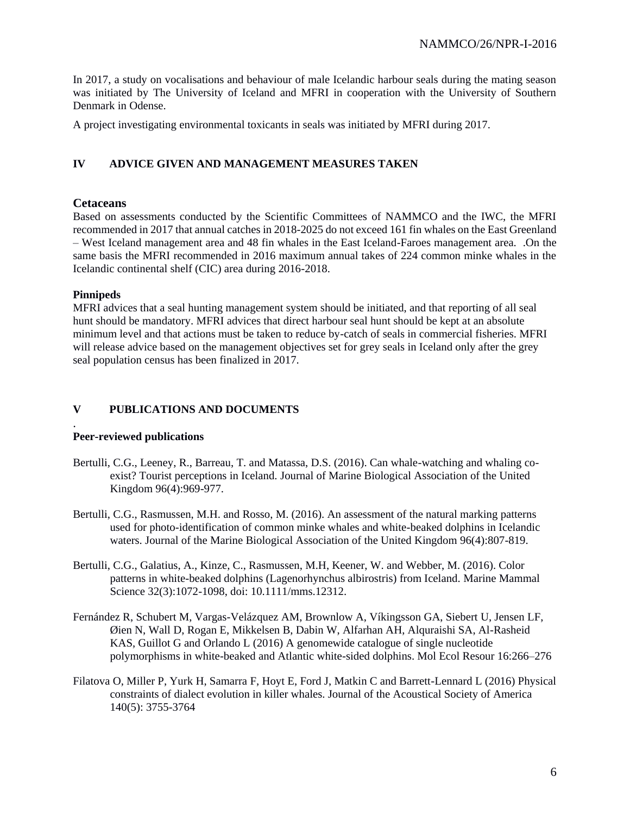In 2017, a study on vocalisations and behaviour of male Icelandic harbour seals during the mating season was initiated by The University of Iceland and MFRI in cooperation with the University of Southern Denmark in Odense.

A project investigating environmental toxicants in seals was initiated by MFRI during 2017.

# **IV ADVICE GIVEN AND MANAGEMENT MEASURES TAKEN**

# **Cetaceans**

Based on assessments conducted by the Scientific Committees of NAMMCO and the IWC, the MFRI recommended in 2017 that annual catches in 2018-2025 do not exceed 161 fin whales on the East Greenland – West Iceland management area and 48 fin whales in the East Iceland-Faroes management area. .On the same basis the MFRI recommended in 2016 maximum annual takes of 224 common minke whales in the Icelandic continental shelf (CIC) area during 2016-2018.

# **Pinnipeds**

MFRI advices that a seal hunting management system should be initiated, and that reporting of all seal hunt should be mandatory. MFRI advices that direct harbour seal hunt should be kept at an absolute minimum level and that actions must be taken to reduce by-catch of seals in commercial fisheries. MFRI will release advice based on the management objectives set for grey seals in Iceland only after the grey seal population census has been finalized in 2017.

# **V PUBLICATIONS AND DOCUMENTS**

#### . **Peer-reviewed publications**

- Bertulli, C.G., Leeney, R., Barreau, T. and Matassa, D.S. (2016). Can whale-watching and whaling coexist? Tourist perceptions in Iceland. Journal of Marine Biological Association of the United Kingdom 96(4):969-977.
- Bertulli, C.G., Rasmussen, M.H. and Rosso, M. (2016). An assessment of the natural marking patterns used for photo-identification of common minke whales and white-beaked dolphins in Icelandic waters. Journal of the Marine Biological Association of the United Kingdom 96(4):807-819.
- Bertulli, C.G., Galatius, A., Kinze, C., Rasmussen, M.H, Keener, W. and Webber, M. (2016). Color patterns in white-beaked dolphins (Lagenorhynchus albirostris) from Iceland. Marine Mammal Science 32(3):1072-1098, doi: 10.1111/mms.12312.
- Fernández R, Schubert M, Vargas-Velázquez AM, Brownlow A, Víkingsson GA, Siebert U, Jensen LF, Øien N, Wall D, Rogan E, Mikkelsen B, Dabin W, Alfarhan AH, Alquraishi SA, Al-Rasheid KAS, Guillot G and Orlando L (2016) A genomewide catalogue of single nucleotide polymorphisms in white-beaked and Atlantic white-sided dolphins. Mol Ecol Resour 16:266–276
- Filatova O, Miller P, Yurk H, Samarra F, Hoyt E, Ford J, Matkin C and Barrett-Lennard L (2016) Physical constraints of dialect evolution in killer whales. Journal of the Acoustical Society of America 140(5): 3755-3764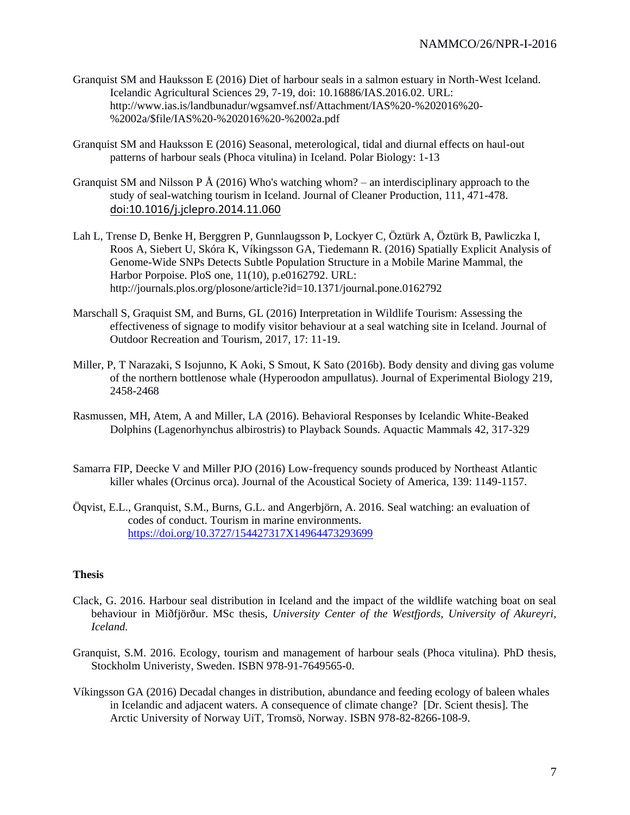- Granquist SM and Hauksson E (2016) Diet of harbour seals in a salmon estuary in North-West Iceland. Icelandic Agricultural Sciences 29, 7-19, doi: 10.16886/IAS.2016.02. URL: http://www.ias.is/landbunadur/wgsamvef.nsf/Attachment/IAS%20-%202016%20- %2002a/\$file/IAS%20-%202016%20-%2002a.pdf
- Granquist SM and Hauksson E (2016) Seasonal, meterological, tidal and diurnal effects on haul-out patterns of harbour seals (Phoca vitulina) in Iceland. Polar Biology: 1-13
- Granquist SM and Nilsson P Å (2016) Who's watching whom? an interdisciplinary approach to the study of seal-watching tourism in Iceland. Journal of Cleaner Production, 111, 471-478. doi:10.1016/j.jclepro.2014.11.060
- Lah L, Trense D, Benke H, Berggren P, Gunnlaugsson Þ, Lockyer C, Öztürk A, Öztürk B, Pawliczka I, Roos A, Siebert U, Skóra K, Víkingsson GA, Tiedemann R. (2016) Spatially Explicit Analysis of Genome-Wide SNPs Detects Subtle Population Structure in a Mobile Marine Mammal, the Harbor Porpoise. PloS one, 11(10), p.e0162792. URL: http://journals.plos.org/plosone/article?id=10.1371/journal.pone.0162792
- Marschall S, Graquist SM, and Burns, GL (2016) Interpretation in Wildlife Tourism: Assessing the effectiveness of signage to modify visitor behaviour at a seal watching site in Iceland. Journal of Outdoor Recreation and Tourism, 2017, 17: 11-19.
- Miller, P, T Narazaki, S Isojunno, K Aoki, S Smout, K Sato (2016b). Body density and diving gas volume of the northern bottlenose whale (Hyperoodon ampullatus). Journal of Experimental Biology 219, 2458-2468
- Rasmussen, MH, Atem, A and Miller, LA (2016). Behavioral Responses by Icelandic White-Beaked Dolphins (Lagenorhynchus albirostris) to Playback Sounds. Aquactic Mammals 42, 317-329
- Samarra FIP, Deecke V and Miller PJO (2016) Low-frequency sounds produced by Northeast Atlantic killer whales (Orcinus orca). Journal of the Acoustical Society of America, 139: 1149-1157.
- Öqvist, E.L., Granquist, S.M., Burns, G.L. and Angerbjörn, A. 2016. Seal watching: an evaluation of codes of conduct. Tourism in marine environments. <https://doi.org/10.3727/154427317X14964473293699>

#### **Thesis**

- Clack, G. 2016. Harbour seal distribution in Iceland and the impact of the wildlife watching boat on seal behaviour in Miðfjörður. MSc thesis, *University Center of the Westfjords, University of Akureyri, Iceland.*
- Granquist, S.M. 2016. Ecology, tourism and management of harbour seals (Phoca vitulina). PhD thesis, Stockholm Univeristy, Sweden. ISBN 978-91-7649565-0.
- Víkingsson GA (2016) Decadal changes in distribution, abundance and feeding ecology of baleen whales in Icelandic and adjacent waters. A consequence of climate change? [Dr. Scient thesis]. The Arctic University of Norway UiT, Tromsö, Norway. ISBN 978-82-8266-108-9.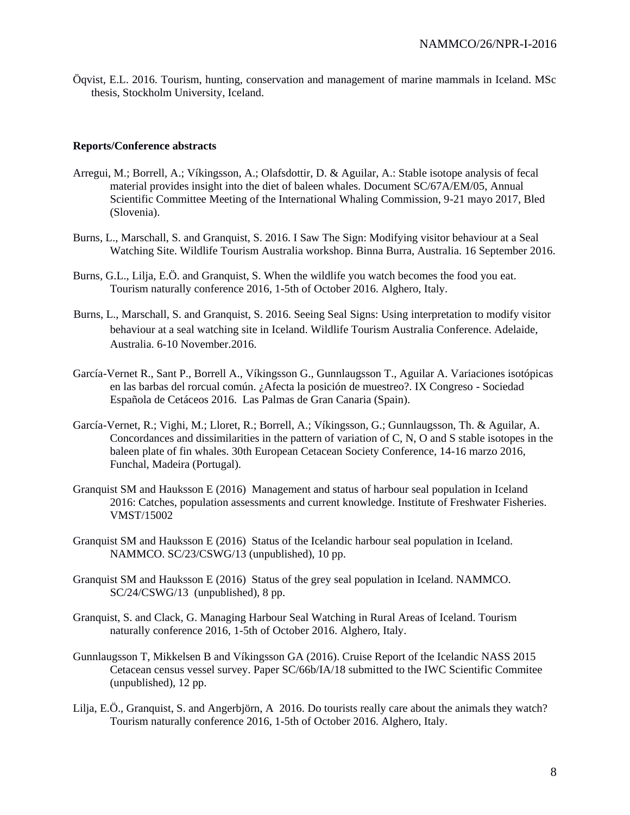Öqvist, E.L. 2016. Tourism, hunting, conservation and management of marine mammals in Iceland. MSc thesis, Stockholm University, Iceland.

#### **Reports/Conference abstracts**

- Arregui, M.; Borrell, A.; Víkingsson, A.; Olafsdottir, D. & Aguilar, A.: Stable isotope analysis of fecal material provides insight into the diet of baleen whales. Document SC/67A/EM/05, Annual Scientific Committee Meeting of the International Whaling Commission, 9-21 mayo 2017, Bled (Slovenia).
- Burns, L., Marschall, S. and Granquist, S. 2016. I Saw The Sign: Modifying visitor behaviour at a Seal Watching Site. Wildlife Tourism Australia workshop. Binna Burra, Australia. 16 September 2016.
- Burns, G.L., Lilja, E.Ö. and Granquist, S. When the wildlife you watch becomes the food you eat. Tourism naturally conference 2016, 1-5th of October 2016. Alghero, Italy.
- Burns, L., Marschall, S. and Granquist, S. 2016. Seeing Seal Signs: Using interpretation to modify visitor behaviour at a seal watching site in Iceland. Wildlife Tourism Australia Conference. Adelaide, Australia. 6-10 November.2016.
- García-Vernet R., Sant P., Borrell A., Víkingsson G., Gunnlaugsson T., Aguilar A. Variaciones isotópicas en las barbas del rorcual común. ¿Afecta la posición de muestreo?. IX Congreso - Sociedad Española de Cetáceos 2016. Las Palmas de Gran Canaria (Spain).
- García-Vernet, R.; Vighi, M.; Lloret, R.; Borrell, A.; Víkingsson, G.; Gunnlaugsson, Th. & Aguilar, A. Concordances and dissimilarities in the pattern of variation of C, N, O and S stable isotopes in the baleen plate of fin whales. 30th European Cetacean Society Conference, 14-16 marzo 2016, Funchal, Madeira (Portugal).
- Granquist SM and Hauksson E (2016) Management and status of harbour seal population in Iceland 2016: Catches, population assessments and current knowledge. Institute of Freshwater Fisheries. VMST/15002
- Granquist SM and Hauksson E (2016) Status of the Icelandic harbour seal population in Iceland. NAMMCO. SC/23/CSWG/13 (unpublished), 10 pp.
- Granquist SM and Hauksson E (2016) Status of the grey seal population in Iceland. NAMMCO. SC/24/CSWG/13 (unpublished), 8 pp.
- Granquist, S. and Clack, G. Managing Harbour Seal Watching in Rural Areas of Iceland. Tourism naturally conference 2016, 1-5th of October 2016. Alghero, Italy.
- Gunnlaugsson T, Mikkelsen B and Víkingsson GA (2016). Cruise Report of the Icelandic NASS 2015 Cetacean census vessel survey. Paper SC/66b/IA/18 submitted to the IWC Scientific Commitee (unpublished), 12 pp.
- Lilja, E.Ö., Granquist, S. and Angerbjörn, A 2016. Do tourists really care about the animals they watch? Tourism naturally conference 2016, 1-5th of October 2016. Alghero, Italy.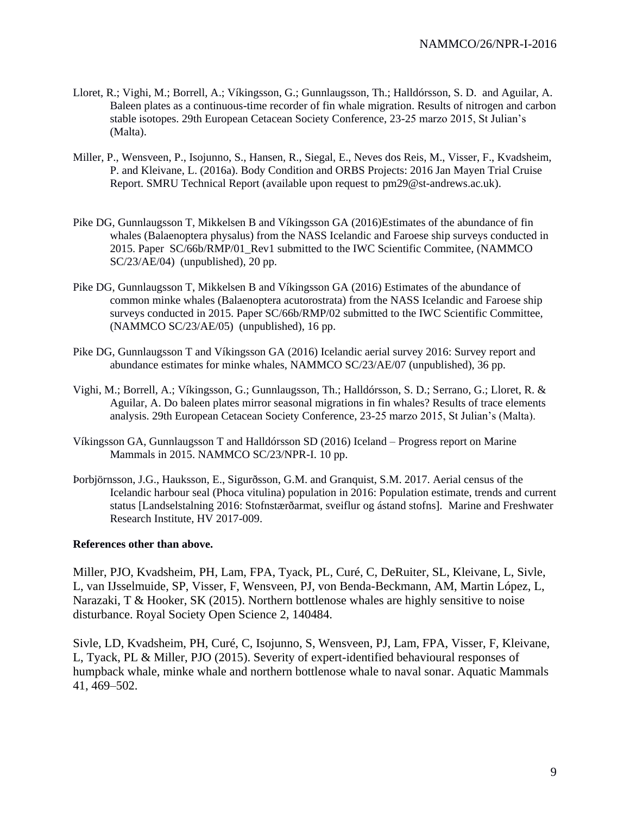- Lloret, R.; Vighi, M.; Borrell, A.; Víkingsson, G.; Gunnlaugsson, Th.; Halldórsson, S. D. and Aguilar, A. Baleen plates as a continuous-time recorder of fin whale migration. Results of nitrogen and carbon stable isotopes. 29th European Cetacean Society Conference, 23-25 marzo 2015, St Julian's (Malta).
- Miller, P., Wensveen, P., Isojunno, S., Hansen, R., Siegal, E., Neves dos Reis, M., Visser, F., Kvadsheim, P. and Kleivane, L. (2016a). Body Condition and ORBS Projects: 2016 Jan Mayen Trial Cruise Report. SMRU Technical Report (available upon request to [pm29@st-andrews.ac.uk\)](mailto:pm29@st-andrews.ac.uk).
- Pike DG, Gunnlaugsson T, Mikkelsen B and Víkingsson GA (2016)Estimates of the abundance of fin whales (Balaenoptera physalus) from the NASS Icelandic and Faroese ship surveys conducted in 2015. Paper SC/66b/RMP/01\_Rev1 submitted to the IWC Scientific Commitee, (NAMMCO SC/23/AE/04) (unpublished), 20 pp.
- Pike DG, Gunnlaugsson T, Mikkelsen B and Víkingsson GA (2016) Estimates of the abundance of common minke whales (Balaenoptera acutorostrata) from the NASS Icelandic and Faroese ship surveys conducted in 2015. Paper SC/66b/RMP/02 submitted to the IWC Scientific Committee, (NAMMCO SC/23/AE/05) (unpublished), 16 pp.
- Pike DG, Gunnlaugsson T and Víkingsson GA (2016) Icelandic aerial survey 2016: Survey report and abundance estimates for minke whales, NAMMCO SC/23/AE/07 (unpublished), 36 pp.
- Vighi, M.; Borrell, A.; Víkingsson, G.; Gunnlaugsson, Th.; Halldórsson, S. D.; Serrano, G.; Lloret, R. & Aguilar, A. Do baleen plates mirror seasonal migrations in fin whales? Results of trace elements analysis. 29th European Cetacean Society Conference, 23-25 marzo 2015, St Julian's (Malta).
- Víkingsson GA, Gunnlaugsson T and Halldórsson SD (2016) Iceland Progress report on Marine Mammals in 2015. NAMMCO SC/23/NPR-I. 10 pp.
- Þorbjörnsson, J.G., Hauksson, E., Sigurðsson, G.M. and Granquist, S.M. 2017. Aerial census of the Icelandic harbour seal (Phoca vitulina) population in 2016: Population estimate, trends and current status [Landselstalning 2016: Stofnstærðarmat, sveiflur og ástand stofns]. Marine and Freshwater Research Institute, HV 2017-009.

#### **References other than above.**

Miller, PJO, Kvadsheim, PH, Lam, FPA, Tyack, PL, Curé, C, DeRuiter, SL, Kleivane, L, Sivle, L, van IJsselmuide, SP, Visser, F, Wensveen, PJ, von Benda-Beckmann, AM, Martin López, L, Narazaki, T & Hooker, SK (2015). Northern bottlenose whales are highly sensitive to noise disturbance. Royal Society Open Science 2, 140484.

Sivle, LD, Kvadsheim, PH, Curé, C, Isojunno, S, Wensveen, PJ, Lam, FPA, Visser, F, Kleivane, L, Tyack, PL & Miller, PJO (2015). Severity of expert-identified behavioural responses of humpback whale, minke whale and northern bottlenose whale to naval sonar. Aquatic Mammals 41, 469–502.